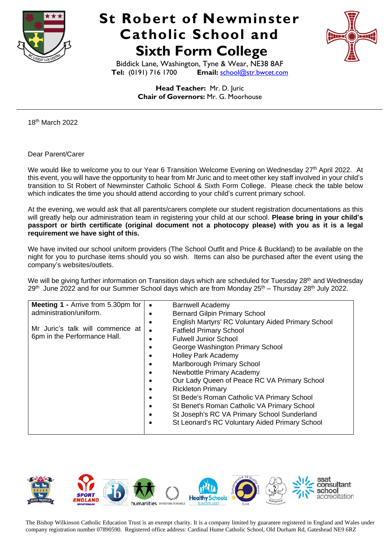

## **St Robert of Newminster Catholic School and Sixth Form College**



Biddick Lane, Washington, Tyne & Wear, NE38 8AF<br>Tel: (0191) 716 1700 Email: school@str.bwcet.com **Email:** [school@str.bwcet.com](mailto:school@str.bwcet.com)

> **Head Teacher:** Mr. D. Juric **Chair of Governors:** Mr. G. Moorhouse

18<sup>th</sup> March 2022

Dear Parent/Carer

We would like to welcome you to our Year 6 Transition Welcome Evening on Wednesday 27<sup>th</sup> April 2022. At this event, you will have the opportunity to hear from Mr Juric and to meet other key staff involved in your child's transition to St Robert of Newminster Catholic School & Sixth Form College. Please check the table below which indicates the time you should attend according to your child's current primary school.

At the evening, we would ask that all parents/carers complete our student registration documentations as this will greatly help our administration team in registering your child at our school. **Please bring in your child's passport or birth certificate (original document not a photocopy please) with you as it is a legal requirement we have sight of this.**

We have invited our school uniform providers (The School Outfit and Price & Buckland) to be available on the night for you to purchase items should you so wish. Items can also be purchased after the event using the company's websites/outlets.

We will be giving further information on Transition days which are scheduled for Tuesday 28<sup>th</sup> and Wednesday  $29<sup>th</sup>$  June 2022 and for our Summer School days which are from Monday  $25<sup>th</sup>$  – Thursday 28<sup>th</sup> July 2022.



 The Bishop Wilkinson Catholic Education Trust is an exempt charity. It is <sup>a</sup> company limited by guarantee registered in England and Wales under company registration number 07890590. Registered office address: Cardinal Hume Catholic School, Old Durham Rd, Gateshead NE9 6RZ